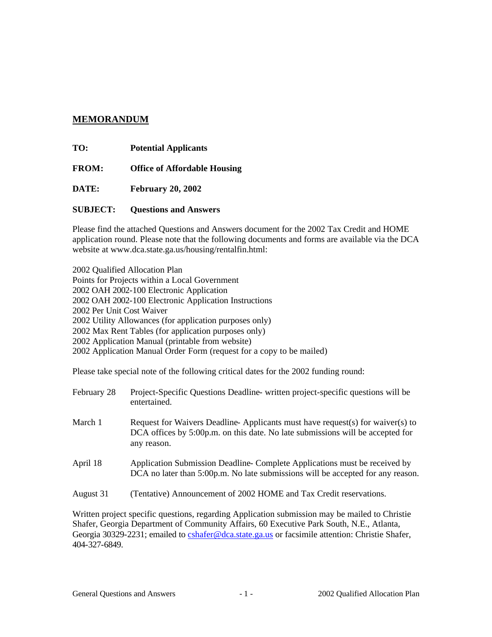## **MEMORANDUM**

**TO: Potential Applicants**

**FROM: Office of Affordable Housing**

**DATE: February 20, 2002**

**SUBJECT: Questions and Answers**

Please find the attached Questions and Answers document for the 2002 Tax Credit and HOME application round. Please note that the following documents and forms are available via the DCA website at www.dca.state.ga.us/housing/rentalfin.html:

2002 Qualified Allocation Plan Points for Projects within a Local Government 2002 OAH 2002-100 Electronic Application 2002 OAH 2002-100 Electronic Application Instructions 2002 Per Unit Cost Waiver 2002 Utility Allowances (for application purposes only) 2002 Max Rent Tables (for application purposes only) 2002 Application Manual (printable from website) 2002 Application Manual Order Form (request for a copy to be mailed)

Please take special note of the following critical dates for the 2002 funding round:

| February 28 | Project-Specific Questions Deadline- written project-specific questions will be<br>entertained.                                                                                |
|-------------|--------------------------------------------------------------------------------------------------------------------------------------------------------------------------------|
| March 1     | Request for Waivers Deadline-Applicants must have request(s) for waiver(s) to<br>DCA offices by 5:00p.m. on this date. No late submissions will be accepted for<br>any reason. |
| April 18    | Application Submission Deadline-Complete Applications must be received by<br>DCA no later than 5:00p.m. No late submissions will be accepted for any reason.                   |
| August 31   | (Tentative) Announcement of 2002 HOME and Tax Credit reservations.                                                                                                             |

Written project specific questions, regarding Application submission may be mailed to Christie Shafer, Georgia Department of Community Affairs, 60 Executive Park South, N.E., Atlanta, Georgia 30329-2231; emailed to cshafer@dca.state.ga.us or facsimile attention: Christie Shafer, 404-327-6849.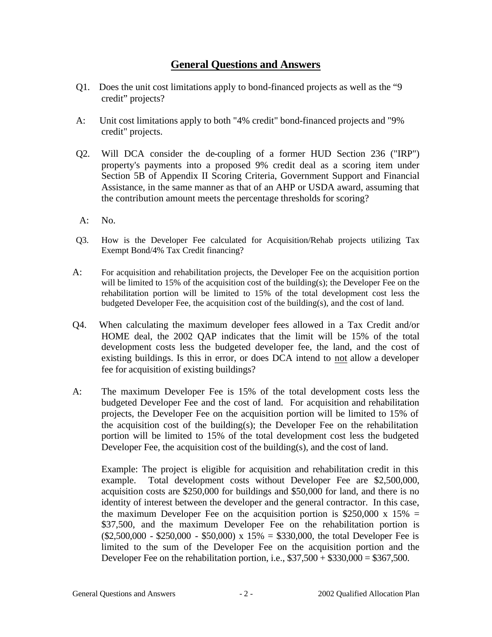# **General Questions and Answers**

- Q1. Does the unit cost limitations apply to bond-financed projects as well as the "9 credit" projects?
- A: Unit cost limitations apply to both "4% credit" bond-financed projects and "9% credit" projects.
- Q2. Will DCA consider the de-coupling of a former HUD Section 236 ("IRP") property's payments into a proposed 9% credit deal as a scoring item under Section 5B of Appendix II Scoring Criteria, Government Support and Financial Assistance, in the same manner as that of an AHP or USDA award, assuming that the contribution amount meets the percentage thresholds for scoring?
- A: No.
- Q3. How is the Developer Fee calculated for Acquisition/Rehab projects utilizing Tax Exempt Bond/4% Tax Credit financing?
- A: For acquisition and rehabilitation projects, the Developer Fee on the acquisition portion will be limited to 15% of the acquisition cost of the building(s); the Developer Fee on the rehabilitation portion will be limited to 15% of the total development cost less the budgeted Developer Fee, the acquisition cost of the building(s), and the cost of land.
- Q4. When calculating the maximum developer fees allowed in a Tax Credit and/or HOME deal, the 2002 QAP indicates that the limit will be 15% of the total development costs less the budgeted developer fee, the land, and the cost of existing buildings. Is this in error, or does DCA intend to not allow a developer fee for acquisition of existing buildings?
- A: The maximum Developer Fee is 15% of the total development costs less the budgeted Developer Fee and the cost of land. For acquisition and rehabilitation projects, the Developer Fee on the acquisition portion will be limited to 15% of the acquisition cost of the building(s); the Developer Fee on the rehabilitation portion will be limited to 15% of the total development cost less the budgeted Developer Fee, the acquisition cost of the building(s), and the cost of land.

Example: The project is eligible for acquisition and rehabilitation credit in this example. Total development costs without Developer Fee are \$2,500,000, acquisition costs are \$250,000 for buildings and \$50,000 for land, and there is no identity of interest between the developer and the general contractor. In this case, the maximum Developer Fee on the acquisition portion is  $$250,000 \times 15\% =$ \$37,500, and the maximum Developer Fee on the rehabilitation portion is  $($2,500,000 - $250,000 - $50,000) \times 15\% = $330,000$ , the total Developer Fee is limited to the sum of the Developer Fee on the acquisition portion and the Developer Fee on the rehabilitation portion, i.e.,  $$37,500 + $330,000 = $367,500$ .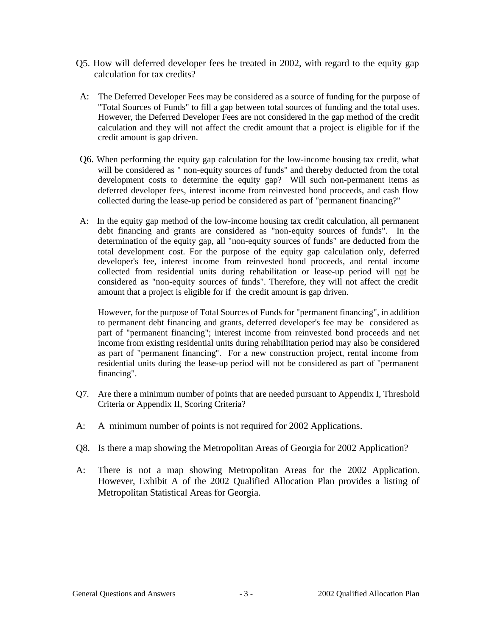- Q5. How will deferred developer fees be treated in 2002, with regard to the equity gap calculation for tax credits?
- A: The Deferred Developer Fees may be considered as a source of funding for the purpose of "Total Sources of Funds" to fill a gap between total sources of funding and the total uses. However, the Deferred Developer Fees are not considered in the gap method of the credit calculation and they will not affect the credit amount that a project is eligible for if the credit amount is gap driven.
- Q6. When performing the equity gap calculation for the low-income housing tax credit, what will be considered as " non-equity sources of funds" and thereby deducted from the total development costs to determine the equity gap? Will such non-permanent items as deferred developer fees, interest income from reinvested bond proceeds, and cash flow collected during the lease-up period be considered as part of "permanent financing?"
- A: In the equity gap method of the low-income housing tax credit calculation, all permanent debt financing and grants are considered as "non-equity sources of funds". In the determination of the equity gap, all "non-equity sources of funds" are deducted from the total development cost. For the purpose of the equity gap calculation only, deferred developer's fee, interest income from reinvested bond proceeds, and rental income collected from residential units during rehabilitation or lease-up period will not be considered as "non-equity sources of funds". Therefore, they will not affect the credit amount that a project is eligible for if the credit amount is gap driven.

However, for the purpose of Total Sources of Funds for "permanent financing", in addition to permanent debt financing and grants, deferred developer's fee may be considered as part of "permanent financing"; interest income from reinvested bond proceeds and net income from existing residential units during rehabilitation period may also be considered as part of "permanent financing". For a new construction project, rental income from residential units during the lease-up period will not be considered as part of "permanent financing".

- Q7. Are there a minimum number of points that are needed pursuant to Appendix I, Threshold Criteria or Appendix II, Scoring Criteria?
- A: A minimum number of points is not required for 2002 Applications.
- Q8. Is there a map showing the Metropolitan Areas of Georgia for 2002 Application?
- A: There is not a map showing Metropolitan Areas for the 2002 Application. However, Exhibit A of the 2002 Qualified Allocation Plan provides a listing of Metropolitan Statistical Areas for Georgia.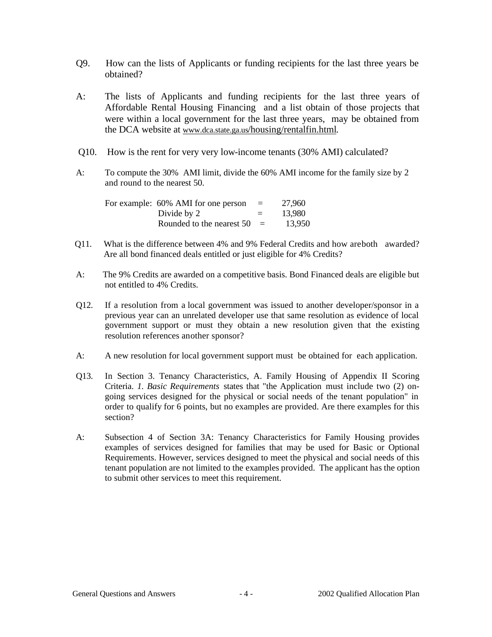- Q9. How can the lists of Applicants or funding recipients for the last three years be obtained?
- A: The lists of Applicants and funding recipients for the last three years of Affordable Rental Housing Financing and a list obtain of those projects that were within a local government for the last three years, may be obtained from the DCA website at www.dca.state.ga.us/housing/rentalfin.html.
- Q10. How is the rent for very very low-income tenants (30% AMI) calculated?
- A: To compute the 30% AMI limit, divide the 60% AMI income for the family size by 2 and round to the nearest 50.

|  | For example: 60% AMI for one person | $=$ | 27,960 |
|--|-------------------------------------|-----|--------|
|  | Divide by 2                         | $=$ | 13.980 |
|  | Rounded to the nearest $50 =$       |     | 13,950 |

- Q11. What is the difference between 4% and 9% Federal Credits and how areboth awarded? Are all bond financed deals entitled or just eligible for 4% Credits?
- A: The 9% Credits are awarded on a competitive basis. Bond Financed deals are eligible but not entitled to 4% Credits.
- Q12. If a resolution from a local government was issued to another developer/sponsor in a previous year can an unrelated developer use that same resolution as evidence of local government support or must they obtain a new resolution given that the existing resolution references another sponsor?
- A: A new resolution for local government support must be obtained for each application.
- Q13. In Section 3. Tenancy Characteristics, A. Family Housing of Appendix II Scoring Criteria. *1. Basic Requirements* states that "the Application must include two (2) ongoing services designed for the physical or social needs of the tenant population" in order to qualify for 6 points, but no examples are provided. Are there examples for this section?
- A: Subsection 4 of Section 3A: Tenancy Characteristics for Family Housing provides examples of services designed for families that may be used for Basic or Optional Requirements. However, services designed to meet the physical and social needs of this tenant population are not limited to the examples provided. The applicant has the option to submit other services to meet this requirement.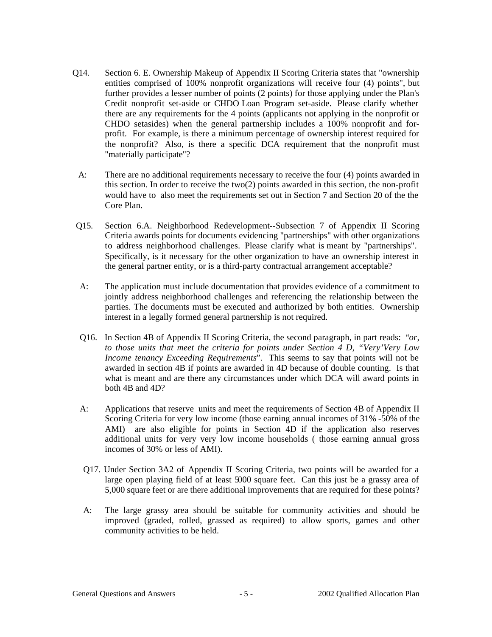- Q14. Section 6. E. Ownership Makeup of Appendix II Scoring Criteria states that "ownership entities comprised of 100% nonprofit organizations will receive four (4) points", but further provides a lesser number of points (2 points) for those applying under the Plan's Credit nonprofit set-aside or CHDO Loan Program set-aside. Please clarify whether there are any requirements for the 4 points (applicants not applying in the nonprofit or CHDO setasides) when the general partnership includes a 100% nonprofit and forprofit. For example, is there a minimum percentage of ownership interest required for the nonprofit? Also, is there a specific DCA requirement that the nonprofit must "materially participate"?
- A: There are no additional requirements necessary to receive the four (4) points awarded in this section. In order to receive the two(2) points awarded in this section, the non-profit would have to also meet the requirements set out in Section 7 and Section 20 of the the Core Plan.
- Q15. Section 6.A. Neighborhood Redevelopment--Subsection 7 of Appendix II Scoring Criteria awards points for documents evidencing "partnerships" with other organizations to address neighborhood challenges. Please clarify what is meant by "partnerships". Specifically, is it necessary for the other organization to have an ownership interest in the general partner entity, or is a third-party contractual arrangement acceptable?
- A: The application must include documentation that provides evidence of a commitment to jointly address neighborhood challenges and referencing the relationship between the parties. The documents must be executed and authorized by both entities. Ownership interest in a legally formed general partnership is not required.
- Q16. In Section 4B of Appendix II Scoring Criteria, the second paragraph, in part reads: "*or, to those units that meet the criteria for points under Section 4 D, "Very'Very Low Income tenancy Exceeding Requirements*". This seems to say that points will not be awarded in section 4B if points are awarded in 4D because of double counting. Is that what is meant and are there any circumstances under which DCA will award points in both 4B and 4D?
- A: Applications that reserve units and meet the requirements of Section 4B of Appendix II Scoring Criteria for very low income (those earning annual incomes of 31% -50% of the AMI) are also eligible for points in Section 4D if the application also reserves additional units for very very low income households ( those earning annual gross incomes of 30% or less of AMI).
- Q17. Under Section 3A2 of Appendix II Scoring Criteria, two points will be awarded for a large open playing field of at least 5000 square feet. Can this just be a grassy area of 5,000 square feet or are there additional improvements that are required for these points?
- A: The large grassy area should be suitable for community activities and should be improved (graded, rolled, grassed as required) to allow sports, games and other community activities to be held.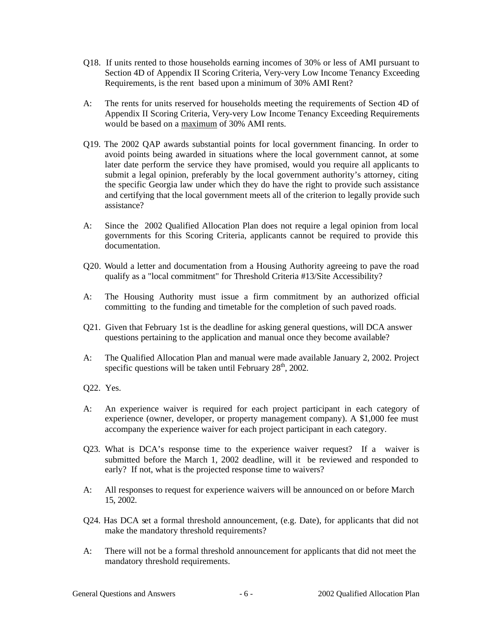- Q18. If units rented to those households earning incomes of 30% or less of AMI pursuant to Section 4D of Appendix II Scoring Criteria, Very-very Low Income Tenancy Exceeding Requirements, is the rent based upon a minimum of 30% AMI Rent?
- A: The rents for units reserved for households meeting the requirements of Section 4D of Appendix II Scoring Criteria, Very-very Low Income Tenancy Exceeding Requirements would be based on a maximum of 30% AMI rents.
- Q19. The 2002 QAP awards substantial points for local government financing. In order to avoid points being awarded in situations where the local government cannot, at some later date perform the service they have promised, would you require all applicants to submit a legal opinion, preferably by the local government authority's attorney, citing the specific Georgia law under which they do have the right to provide such assistance and certifying that the local government meets all of the criterion to legally provide such assistance?
- A: Since the 2002 Qualified Allocation Plan does not require a legal opinion from local governments for this Scoring Criteria, applicants cannot be required to provide this documentation.
- Q20. Would a letter and documentation from a Housing Authority agreeing to pave the road qualify as a "local commitment" for Threshold Criteria #13/Site Accessibility?
- A: The Housing Authority must issue a firm commitment by an authorized official committing to the funding and timetable for the completion of such paved roads.
- Q21. Given that February 1st is the deadline for asking general questions, will DCA answer questions pertaining to the application and manual once they become available?
- A: The Qualified Allocation Plan and manual were made available January 2, 2002. Project specific questions will be taken until February  $28<sup>th</sup>$ , 2002.
- Q22. Yes.
- A: An experience waiver is required for each project participant in each category of experience (owner, developer, or property management company). A \$1,000 fee must accompany the experience waiver for each project participant in each category.
- Q23. What is DCA's response time to the experience waiver request? If a waiver is submitted before the March 1, 2002 deadline, will it be reviewed and responded to early? If not, what is the projected response time to waivers?
- A: All responses to request for experience waivers will be announced on or before March 15, 2002.
- Q24. Has DCA set a formal threshold announcement, (e.g. Date), for applicants that did not make the mandatory threshold requirements?
- A: There will not be a formal threshold announcement for applicants that did not meet the mandatory threshold requirements.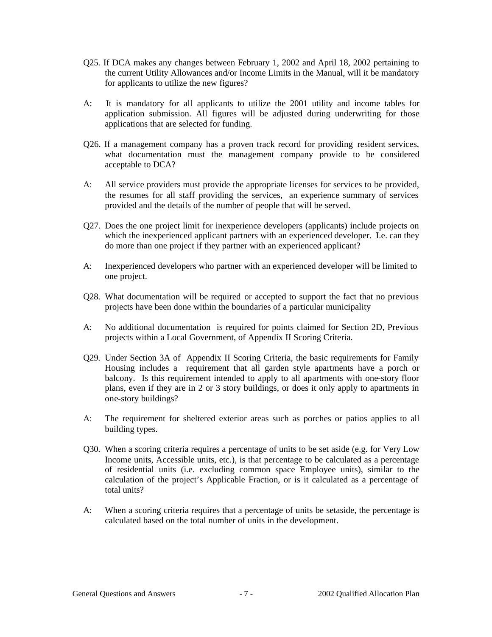- Q25. If DCA makes any changes between February 1, 2002 and April 18, 2002 pertaining to the current Utility Allowances and/or Income Limits in the Manual, will it be mandatory for applicants to utilize the new figures?
- A: It is mandatory for all applicants to utilize the 2001 utility and income tables for application submission. All figures will be adjusted during underwriting for those applications that are selected for funding.
- Q26. If a management company has a proven track record for providing resident services, what documentation must the management company provide to be considered acceptable to DCA?
- A: All service providers must provide the appropriate licenses for services to be provided, the resumes for all staff providing the services, an experience summary of services provided and the details of the number of people that will be served.
- Q27. Does the one project limit for inexperience developers (applicants) include projects on which the inexperienced applicant partners with an experienced developer. I.e. can they do more than one project if they partner with an experienced applicant?
- A: Inexperienced developers who partner with an experienced developer will be limited to one project.
- Q28. What documentation will be required or accepted to support the fact that no previous projects have been done within the boundaries of a particular municipality
- A: No additional documentation is required for points claimed for Section 2D, Previous projects within a Local Government, of Appendix II Scoring Criteria.
- Q29. Under Section 3A of Appendix II Scoring Criteria, the basic requirements for Family Housing includes a requirement that all garden style apartments have a porch or balcony. Is this requirement intended to apply to all apartments with one-story floor plans, even if they are in 2 or 3 story buildings, or does it only apply to apartments in one-story buildings?
- A: The requirement for sheltered exterior areas such as porches or patios applies to all building types.
- Q30. When a scoring criteria requires a percentage of units to be set aside (e.g. for Very Low Income units, Accessible units, etc.), is that percentage to be calculated as a percentage of residential units (i.e. excluding common space Employee units), similar to the calculation of the project's Applicable Fraction, or is it calculated as a percentage of total units?
- A: When a scoring criteria requires that a percentage of units be setaside, the percentage is calculated based on the total number of units in the development.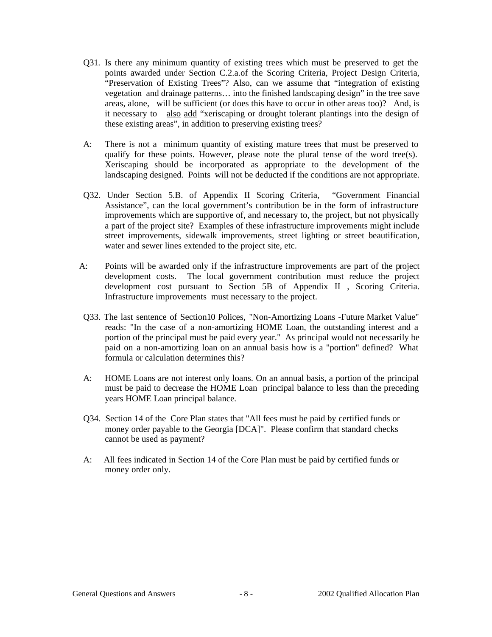- Q31. Is there any minimum quantity of existing trees which must be preserved to get the points awarded under Section C.2.a.of the Scoring Criteria, Project Design Criteria, "Preservation of Existing Trees"? Also, can we assume that "integration of existing vegetation and drainage patterns… into the finished landscaping design" in the tree save areas, alone, will be sufficient (or does this have to occur in other areas too)? And, is it necessary to also add "xeriscaping or drought tolerant plantings into the design of these existing areas", in addition to preserving existing trees?
- A: There is not a minimum quantity of existing mature trees that must be preserved to qualify for these points. However, please note the plural tense of the word tree(s). Xeriscaping should be incorporated as appropriate to the development of the landscaping designed. Points will not be deducted if the conditions are not appropriate.
- Q32. Under Section 5.B. of Appendix II Scoring Criteria, "Government Financial Assistance", can the local government's contribution be in the form of infrastructure improvements which are supportive of, and necessary to, the project, but not physically a part of the project site? Examples of these infrastructure improvements might include street improvements, sidewalk improvements, street lighting or street beautification, water and sewer lines extended to the project site, etc.
- A: Points will be awarded only if the infrastructure improvements are part of the project development costs. The local government contribution must reduce the project development cost pursuant to Section 5B of Appendix II , Scoring Criteria. Infrastructure improvements must necessary to the project.
- Q33. The last sentence of Section10 Polices, "Non-Amortizing Loans -Future Market Value" reads: "In the case of a non-amortizing HOME Loan, the outstanding interest and a portion of the principal must be paid every year." As principal would not necessarily be paid on a non-amortizing loan on an annual basis how is a "portion" defined? What formula or calculation determines this?
- A: HOME Loans are not interest only loans. On an annual basis, a portion of the principal must be paid to decrease the HOME Loan principal balance to less than the preceding years HOME Loan principal balance.
- Q34. Section 14 of the Core Plan states that "All fees must be paid by certified funds or money order payable to the Georgia [DCA]". Please confirm that standard checks cannot be used as payment?
- A: All fees indicated in Section 14 of the Core Plan must be paid by certified funds or money order only.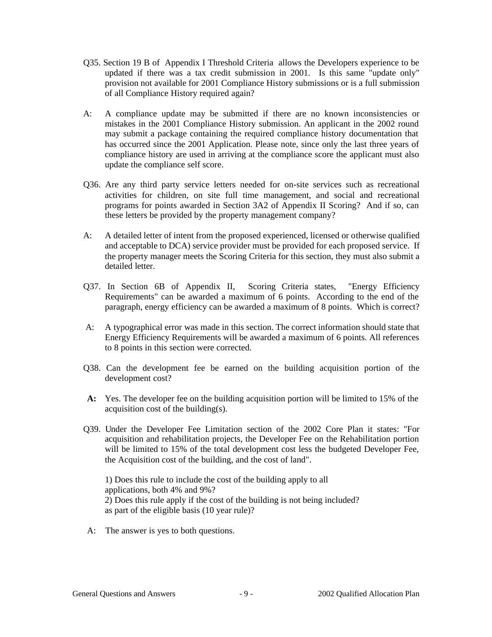- Q35. Section 19 B of Appendix I Threshold Criteria allows the Developers experience to be updated if there was a tax credit submission in 2001. Is this same "update only" provision not available for 2001 Compliance History submissions or is a full submission of all Compliance History required again?
- A: A compliance update may be submitted if there are no known inconsistencies or mistakes in the 2001 Compliance History submission. An applicant in the 2002 round may submit a package containing the required compliance history documentation that has occurred since the 2001 Application. Please note, since only the last three years of compliance history are used in arriving at the compliance score the applicant must also update the compliance self score.
- Q36. Are any third party service letters needed for on-site services such as recreational activities for children, on site full time management, and social and recreational programs for points awarded in Section 3A2 of Appendix II Scoring? And if so, can these letters be provided by the property management company?
- A: A detailed letter of intent from the proposed experienced, licensed or otherwise qualified and acceptable to DCA) service provider must be provided for each proposed service. If the property manager meets the Scoring Criteria for this section, they must also submit a detailed letter.
- Q37. In Section 6B of Appendix II, Scoring Criteria states, "Energy Efficiency Requirements" can be awarded a maximum of 6 points. According to the end of the paragraph, energy efficiency can be awarded a maximum of 8 points. Which is correct?
- A: A typographical error was made in this section. The correct information should state that Energy Efficiency Requirements will be awarded a maximum of 6 points. All references to 8 points in this section were corrected.
- Q38. Can the development fee be earned on the building acquisition portion of the development cost?
- **A:** Yes. The developer fee on the building acquisition portion will be limited to 15% of the acquisition cost of the building(s).
- Q39. Under the Developer Fee Limitation section of the 2002 Core Plan it states: "For acquisition and rehabilitation projects, the Developer Fee on the Rehabilitation portion will be limited to 15% of the total development cost less the budgeted Developer Fee, the Acquisition cost of the building, and the cost of land".

1) Does this rule to include the cost of the building apply to all applications, both 4% and 9%? 2) Does this rule apply if the cost of the building is not being included? as part of the eligible basis (10 year rule)?

A: The answer is yes to both questions.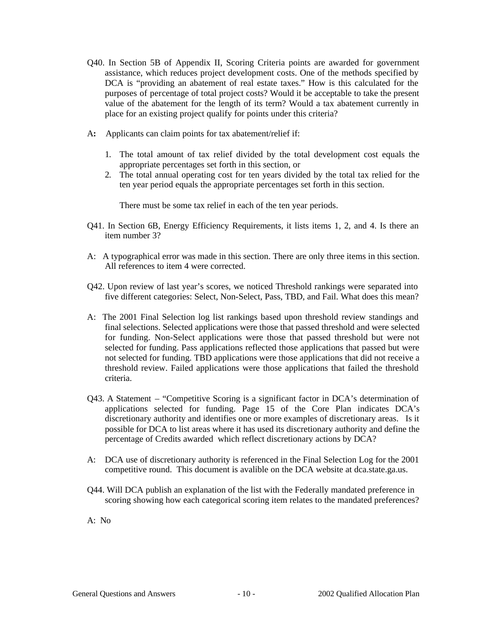- Q40. In Section 5B of Appendix II, Scoring Criteria points are awarded for government assistance, which reduces project development costs. One of the methods specified by DCA is "providing an abatement of real estate taxes." How is this calculated for the purposes of percentage of total project costs? Would it be acceptable to take the present value of the abatement for the length of its term? Would a tax abatement currently in place for an existing project qualify for points under this criteria?
- A**:** Applicants can claim points for tax abatement/relief if:
	- 1. The total amount of tax relief divided by the total development cost equals the appropriate percentages set forth in this section, or
	- 2. The total annual operating cost for ten years divided by the total tax relied for the ten year period equals the appropriate percentages set forth in this section.

There must be some tax relief in each of the ten year periods.

- Q41. In Section 6B, Energy Efficiency Requirements, it lists items 1, 2, and 4. Is there an item number 3?
- A: A typographical error was made in this section. There are only three items in this section. All references to item 4 were corrected.
- Q42. Upon review of last year's scores, we noticed Threshold rankings were separated into five different categories: Select, Non-Select, Pass, TBD, and Fail. What does this mean?
- A: The 2001 Final Selection log list rankings based upon threshold review standings and final selections. Selected applications were those that passed threshold and were selected for funding. Non-Select applications were those that passed threshold but were not selected for funding. Pass applications reflected those applications that passed but were not selected for funding. TBD applications were those applications that did not receive a threshold review. Failed applications were those applications that failed the threshold criteria.
- Q43. A Statement "Competitive Scoring is a significant factor in DCA's determination of applications selected for funding. Page 15 of the Core Plan indicates DCA's discretionary authority and identifies one or more examples of discretionary areas. Is it possible for DCA to list areas where it has used its discretionary authority and define the percentage of Credits awarded which reflect discretionary actions by DCA?
- A: DCA use of discretionary authority is referenced in the Final Selection Log for the 2001 competitive round. This document is avalible on the DCA website at dca.state.ga.us.
- Q44. Will DCA publish an explanation of the list with the Federally mandated preference in scoring showing how each categorical scoring item relates to the mandated preferences?
- A: No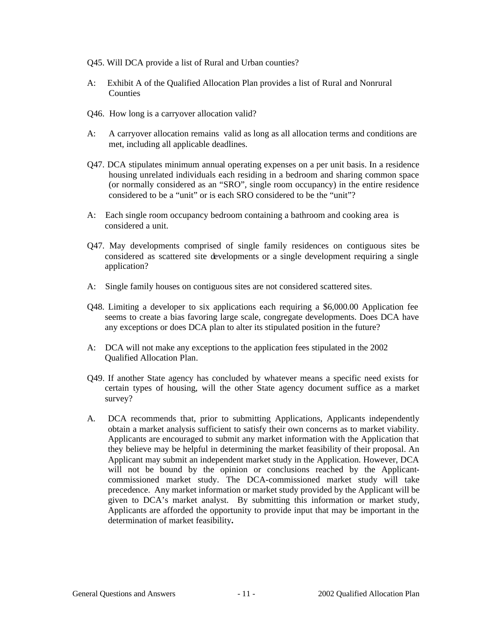- Q45. Will DCA provide a list of Rural and Urban counties?
- A: Exhibit A of the Qualified Allocation Plan provides a list of Rural and Nonrural Counties
- Q46. How long is a carryover allocation valid?
- A: A carryover allocation remains valid as long as all allocation terms and conditions are met, including all applicable deadlines.
- Q47. DCA stipulates minimum annual operating expenses on a per unit basis. In a residence housing unrelated individuals each residing in a bedroom and sharing common space (or normally considered as an "SRO", single room occupancy) in the entire residence considered to be a "unit" or is each SRO considered to be the "unit"?
- A: Each single room occupancy bedroom containing a bathroom and cooking area is considered a unit.
- Q47. May developments comprised of single family residences on contiguous sites be considered as scattered site developments or a single development requiring a single application?
- A: Single family houses on contiguous sites are not considered scattered sites.
- Q48. Limiting a developer to six applications each requiring a \$6,000.00 Application fee seems to create a bias favoring large scale, congregate developments. Does DCA have any exceptions or does DCA plan to alter its stipulated position in the future?
- A: DCA will not make any exceptions to the application fees stipulated in the 2002 Qualified Allocation Plan.
- Q49. If another State agency has concluded by whatever means a specific need exists for certain types of housing, will the other State agency document suffice as a market survey?
- A. DCA recommends that, prior to submitting Applications, Applicants independently obtain a market analysis sufficient to satisfy their own concerns as to market viability. Applicants are encouraged to submit any market information with the Application that they believe may be helpful in determining the market feasibility of their proposal. An Applicant may submit an independent market study in the Application. However, DCA will not be bound by the opinion or conclusions reached by the Applicantcommissioned market study. The DCA-commissioned market study will take precedence. Any market information or market study provided by the Applicant will be given to DCA's market analyst. By submitting this information or market study, Applicants are afforded the opportunity to provide input that may be important in the determination of market feasibility**.**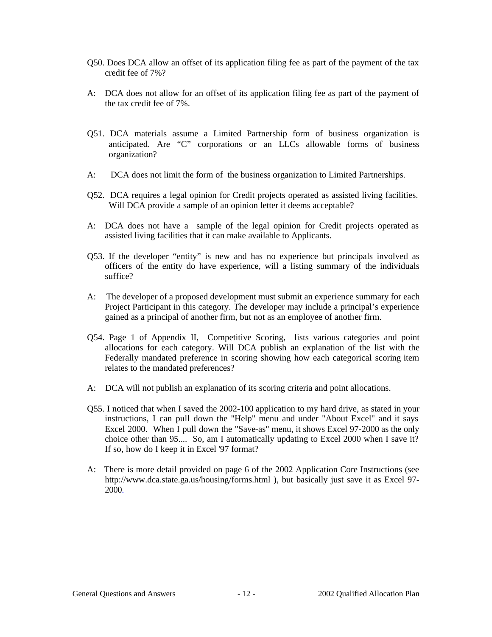- Q50. Does DCA allow an offset of its application filing fee as part of the payment of the tax credit fee of 7%?
- A: DCA does not allow for an offset of its application filing fee as part of the payment of the tax credit fee of 7%.
- Q51. DCA materials assume a Limited Partnership form of business organization is anticipated. Are "C" corporations or an LLCs allowable forms of business organization?
- A: DCA does not limit the form of the business organization to Limited Partnerships.
- Q52. DCA requires a legal opinion for Credit projects operated as assisted living facilities. Will DCA provide a sample of an opinion letter it deems acceptable?
- A: DCA does not have a sample of the legal opinion for Credit projects operated as assisted living facilities that it can make available to Applicants.
- Q53. If the developer "entity" is new and has no experience but principals involved as officers of the entity do have experience, will a listing summary of the individuals suffice?
- A: The developer of a proposed development must submit an experience summary for each Project Participant in this category. The developer may include a principal's experience gained as a principal of another firm, but not as an employee of another firm.
- Q54. Page 1 of Appendix II, Competitive Scoring, lists various categories and point allocations for each category. Will DCA publish an explanation of the list with the Federally mandated preference in scoring showing how each categorical scoring item relates to the mandated preferences?
- A: DCA will not publish an explanation of its scoring criteria and point allocations.
- Q55. I noticed that when I saved the 2002-100 application to my hard drive, as stated in your instructions, I can pull down the "Help" menu and under "About Excel" and it says Excel 2000. When I pull down the "Save-as" menu, it shows Excel 97-2000 as the only choice other than 95.... So, am I automatically updating to Excel 2000 when I save it? If so, how do I keep it in Excel '97 format?
- A: There is more detail provided on page 6 of the 2002 Application Core Instructions (see http://www.dca.state.ga.us/housing/forms.html ), but basically just save it as Excel 97- 2000.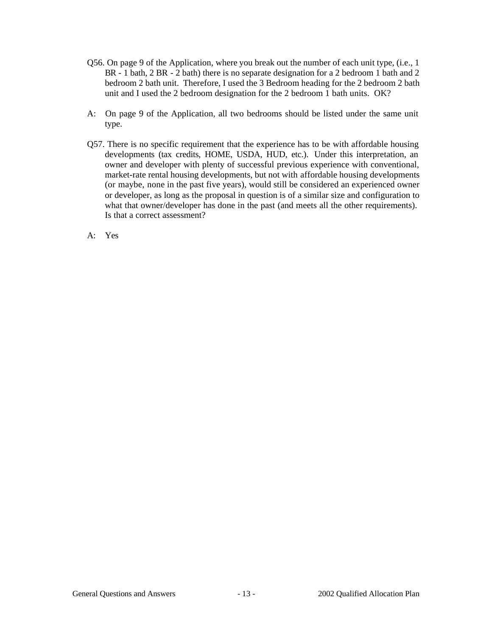- Q56. On page 9 of the Application, where you break out the number of each unit type, (i.e., 1 BR - 1 bath, 2 BR - 2 bath) there is no separate designation for a 2 bedroom 1 bath and 2 bedroom 2 bath unit. Therefore, I used the 3 Bedroom heading for the 2 bedroom 2 bath unit and I used the 2 bedroom designation for the 2 bedroom 1 bath units. OK?
- A: On page 9 of the Application, all two bedrooms should be listed under the same unit type.
- Q57. There is no specific requirement that the experience has to be with affordable housing developments (tax credits, HOME, USDA, HUD, etc.). Under this interpretation, an owner and developer with plenty of successful previous experience with conventional, market-rate rental housing developments, but not with affordable housing developments (or maybe, none in the past five years), would still be considered an experienced owner or developer, as long as the proposal in question is of a similar size and configuration to what that owner/developer has done in the past (and meets all the other requirements). Is that a correct assessment?
- A: Yes